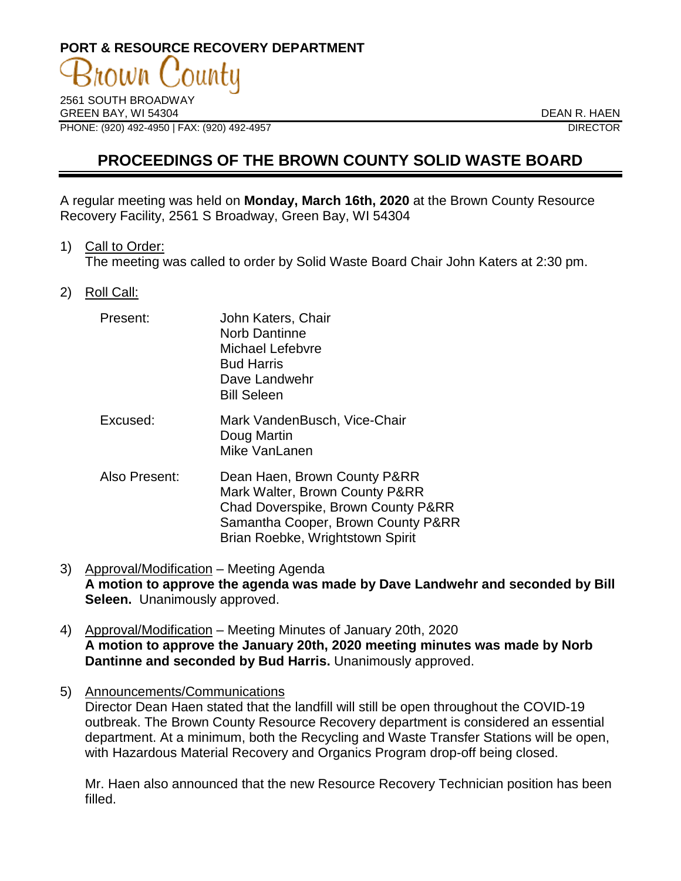# **PORT & RESOURCE RECOVERY DEPARTMENT** own

2561 SOUTH BROADWAY GREEN BAY, WI 54304 DEAN R. HAEN PHONE: (920) 492-4950 | FAX: (920) 492-4957 DIRECTOR

## **PROCEEDINGS OF THE BROWN COUNTY SOLID WASTE BOARD**

A regular meeting was held on **Monday, March 16th, 2020** at the Brown County Resource Recovery Facility, 2561 S Broadway, Green Bay, WI 54304

1) Call to Order:

The meeting was called to order by Solid Waste Board Chair John Katers at 2:30 pm.

2) Roll Call:

| Present:      | John Katers, Chair<br><b>Norb Dantinne</b><br>Michael Lefebvre<br><b>Bud Harris</b><br>Dave Landwehr<br><b>Bill Seleen</b>                                                     |
|---------------|--------------------------------------------------------------------------------------------------------------------------------------------------------------------------------|
| Excused:      | Mark VandenBusch, Vice-Chair<br>Doug Martin<br>Mike VanLanen                                                                                                                   |
| Also Present: | Dean Haen, Brown County P&RR<br>Mark Walter, Brown County P&RR<br>Chad Doverspike, Brown County P&RR<br>Samantha Cooper, Brown County P&RR<br>Brian Roebke, Wrightstown Spirit |

- 3) Approval/Modification Meeting Agenda **A motion to approve the agenda was made by Dave Landwehr and seconded by Bill Seleen.** Unanimously approved.
- 4) Approval/Modification Meeting Minutes of January 20th, 2020 **A motion to approve the January 20th, 2020 meeting minutes was made by Norb Dantinne and seconded by Bud Harris.** Unanimously approved.
- 5) Announcements/Communications Director Dean Haen stated that the landfill will still be open throughout the COVID-19 outbreak. The Brown County Resource Recovery department is considered an essential department. At a minimum, both the Recycling and Waste Transfer Stations will be open, with Hazardous Material Recovery and Organics Program drop-off being closed.

Mr. Haen also announced that the new Resource Recovery Technician position has been filled.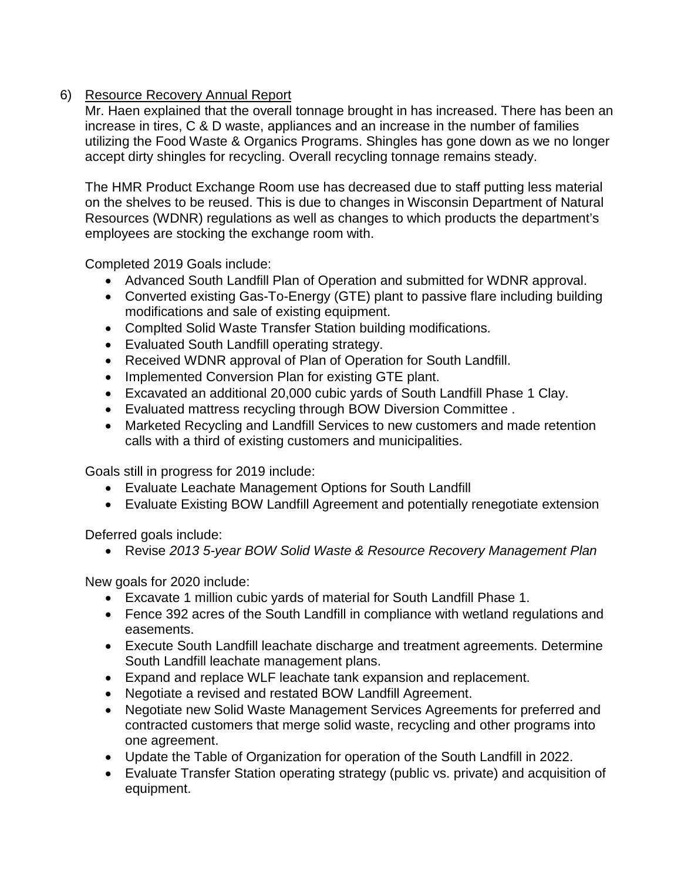## 6) Resource Recovery Annual Report

Mr. Haen explained that the overall tonnage brought in has increased. There has been an increase in tires, C & D waste, appliances and an increase in the number of families utilizing the Food Waste & Organics Programs. Shingles has gone down as we no longer accept dirty shingles for recycling. Overall recycling tonnage remains steady.

The HMR Product Exchange Room use has decreased due to staff putting less material on the shelves to be reused. This is due to changes in Wisconsin Department of Natural Resources (WDNR) regulations as well as changes to which products the department's employees are stocking the exchange room with.

Completed 2019 Goals include:

- Advanced South Landfill Plan of Operation and submitted for WDNR approval.
- Converted existing Gas-To-Energy (GTE) plant to passive flare including building modifications and sale of existing equipment.
- Complted Solid Waste Transfer Station building modifications.
- Evaluated South Landfill operating strategy.
- Received WDNR approval of Plan of Operation for South Landfill.
- Implemented Conversion Plan for existing GTE plant.
- Excavated an additional 20,000 cubic yards of South Landfill Phase 1 Clay.
- Evaluated mattress recycling through BOW Diversion Committee .
- Marketed Recycling and Landfill Services to new customers and made retention calls with a third of existing customers and municipalities.

Goals still in progress for 2019 include:

- Evaluate Leachate Management Options for South Landfill
- Evaluate Existing BOW Landfill Agreement and potentially renegotiate extension

Deferred goals include:

• Revise *2013 5-year BOW Solid Waste & Resource Recovery Management Plan*

New goals for 2020 include:

- Excavate 1 million cubic yards of material for South Landfill Phase 1.
- Fence 392 acres of the South Landfill in compliance with wetland regulations and easements.
- Execute South Landfill leachate discharge and treatment agreements. Determine South Landfill leachate management plans.
- Expand and replace WLF leachate tank expansion and replacement.
- Negotiate a revised and restated BOW Landfill Agreement.
- Negotiate new Solid Waste Management Services Agreements for preferred and contracted customers that merge solid waste, recycling and other programs into one agreement.
- Update the Table of Organization for operation of the South Landfill in 2022.
- Evaluate Transfer Station operating strategy (public vs. private) and acquisition of equipment.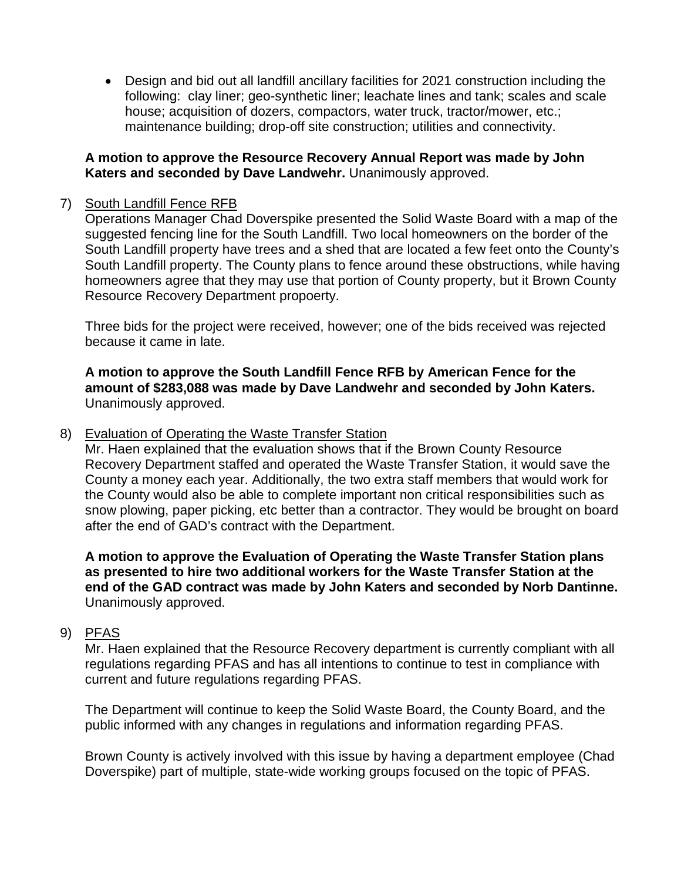• Design and bid out all landfill ancillary facilities for 2021 construction including the following: clay liner; geo-synthetic liner; leachate lines and tank; scales and scale house; acquisition of dozers, compactors, water truck, tractor/mower, etc.; maintenance building; drop-off site construction; utilities and connectivity.

## **A motion to approve the Resource Recovery Annual Report was made by John Katers and seconded by Dave Landwehr.** Unanimously approved.

## 7) South Landfill Fence RFB

Operations Manager Chad Doverspike presented the Solid Waste Board with a map of the suggested fencing line for the South Landfill. Two local homeowners on the border of the South Landfill property have trees and a shed that are located a few feet onto the County's South Landfill property. The County plans to fence around these obstructions, while having homeowners agree that they may use that portion of County property, but it Brown County Resource Recovery Department propoerty.

Three bids for the project were received, however; one of the bids received was rejected because it came in late.

**A motion to approve the South Landfill Fence RFB by American Fence for the amount of \$283,088 was made by Dave Landwehr and seconded by John Katers.**  Unanimously approved.

## 8) Evaluation of Operating the Waste Transfer Station

Mr. Haen explained that the evaluation shows that if the Brown County Resource Recovery Department staffed and operated the Waste Transfer Station, it would save the County a money each year. Additionally, the two extra staff members that would work for the County would also be able to complete important non critical responsibilities such as snow plowing, paper picking, etc better than a contractor. They would be brought on board after the end of GAD's contract with the Department.

**A motion to approve the Evaluation of Operating the Waste Transfer Station plans as presented to hire two additional workers for the Waste Transfer Station at the end of the GAD contract was made by John Katers and seconded by Norb Dantinne.**  Unanimously approved.

## 9) PFAS

Mr. Haen explained that the Resource Recovery department is currently compliant with all regulations regarding PFAS and has all intentions to continue to test in compliance with current and future regulations regarding PFAS.

The Department will continue to keep the Solid Waste Board, the County Board, and the public informed with any changes in regulations and information regarding PFAS.

Brown County is actively involved with this issue by having a department employee (Chad Doverspike) part of multiple, state-wide working groups focused on the topic of PFAS.